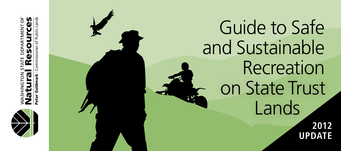

WASHINGTON STATE DEPARTMENT OF Natural Resources **AENT** 

Peter Goldmark - Commissioner of Public Lands **Public L** ommissioner

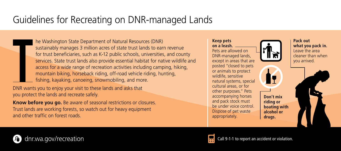# Guidelines for Recreating on DNR-managed Lands

he Washington State Department of Natural Resources (DNR) sustainably manages 3 million acres of state trust lands to earn revenue for trust beneficiaries, such as K-12 public schools, universities, and county services. State trust lands also provide essential habitat for native wildlife and access for a wide range of recreation activities including camping, hiking, mountain biking, horseback riding, off-road vehicle riding, hunting, fishing, kayaking, canoeing, snowmobiling, and more.

DNR wants you to enjoy your visit to these lands and asks that you protect the lands and recreate safely.

**Know before you go.** Be aware of seasonal restrictions or closures. Trust lands are working forests, so watch out for heavy equipment and other traffic on forest roads.

**Keep pets on a leash.** Pets are allowed on DNR-managed lands, except in areas that are posted "closed to pets or animals to protect wildlife, sensitive natural systems, special cultural areas, or for other purposes." Pets accompanying horses and pack stock must be under voice control. Dispose of pet waste appropriately.



**drugs.**



**Pack out what you pack in.** Leave the area cleaner than when you arrived.





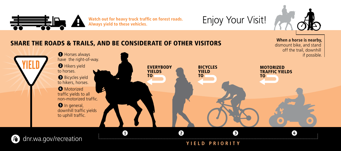

Watch out for heavy truck traffic on forest roads. Always yield to these vehicles.<br>Always yield to these vehicles.



dismount bike, and stand

#### SHARE THE ROADS & TRAILS, AND BE CONSIDERATE OF OTHER VISITORS When a horse is nearby,



**Yiel d Priorit y**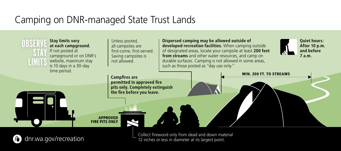# Camping on DNR-managed State Trust Lands



Collect firewood only from dead and down material dnr.wa.gov/recreation 12 inches or less in diameter at its largest point.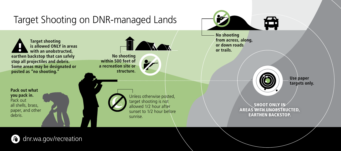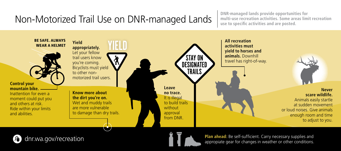# Non-Motorized Trail Use on DNR-managed Lands

**DNR-managed lands provide opportunities for multi-use recreation activities. Some areas limit recreation use to specific activities and are posted.**







**Plan ahead:** Be self-sufficient. Carry necessary supplies and appropiate gear for changes in weather or other conditions.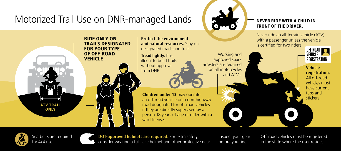

Seatbelts are required for 4x4 use.



**DOT-approved helmets are required.** For extra safety, consider wearing a full-face helmet and other protective gear. Inspect your gear before you ride.

Off-road vehicles must be registered in the state where the user resides.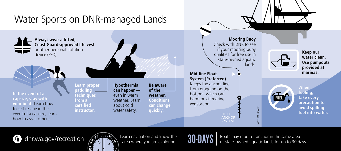

dnr.wa.gov/recreation J)



Learn navigation and know the area where you are exploring.



Boats may moor or anchor in the same area of state-owned aquatic lands for up to 30 days.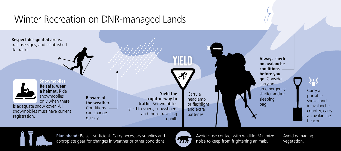### Winter Recreation on DNR-managed Lands





**Plan ahead:** Be self-sufficient. Carry necessary supplies and appropiate gear for changes in weather or other conditions.



Avoid close contact with wildlife. Minimize noise to keep from frightening animals.

Avoid damaging vegetation.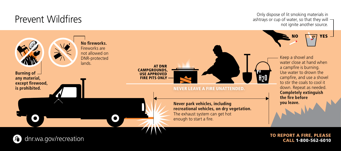#### Prevent Wildfires

dnr.wa.gov/recreation

л

Only dispose of lit smoking materials in ashtrays or cup of water, so that they will  $\neg$ not ignite another source.



To report a fire, please call 1-800-562-6010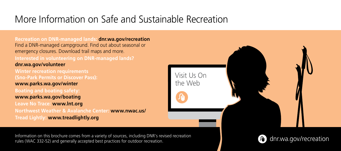### More Information on Safe and Sustainable Recreation

**Recreation on DNR-managed lands: dnr.wa.gov/recreation** Find a DNR-managed campground. Find out about seasonal or emergency closures. Download trail maps and more. **Interested in volunteering on DNR-managed lands? dnr.wa.gov/volunteer Winter recreation requirements (Sno-Park Permits or Discover Pass): www.parks.wa.gov/winter Boating and boating safety: www.parks.wa.gov/boating Leave No Trace: www.lnt.org Northwest Weather & Avalanche Center: www.nwac.us/ Tread Lightly: www.treadlightly.org**



Information on this brochure comes from a variety of sources, including DNR's revised recreation rules (WAC 332-52) and generally accepted best practices for outdoor recreation.